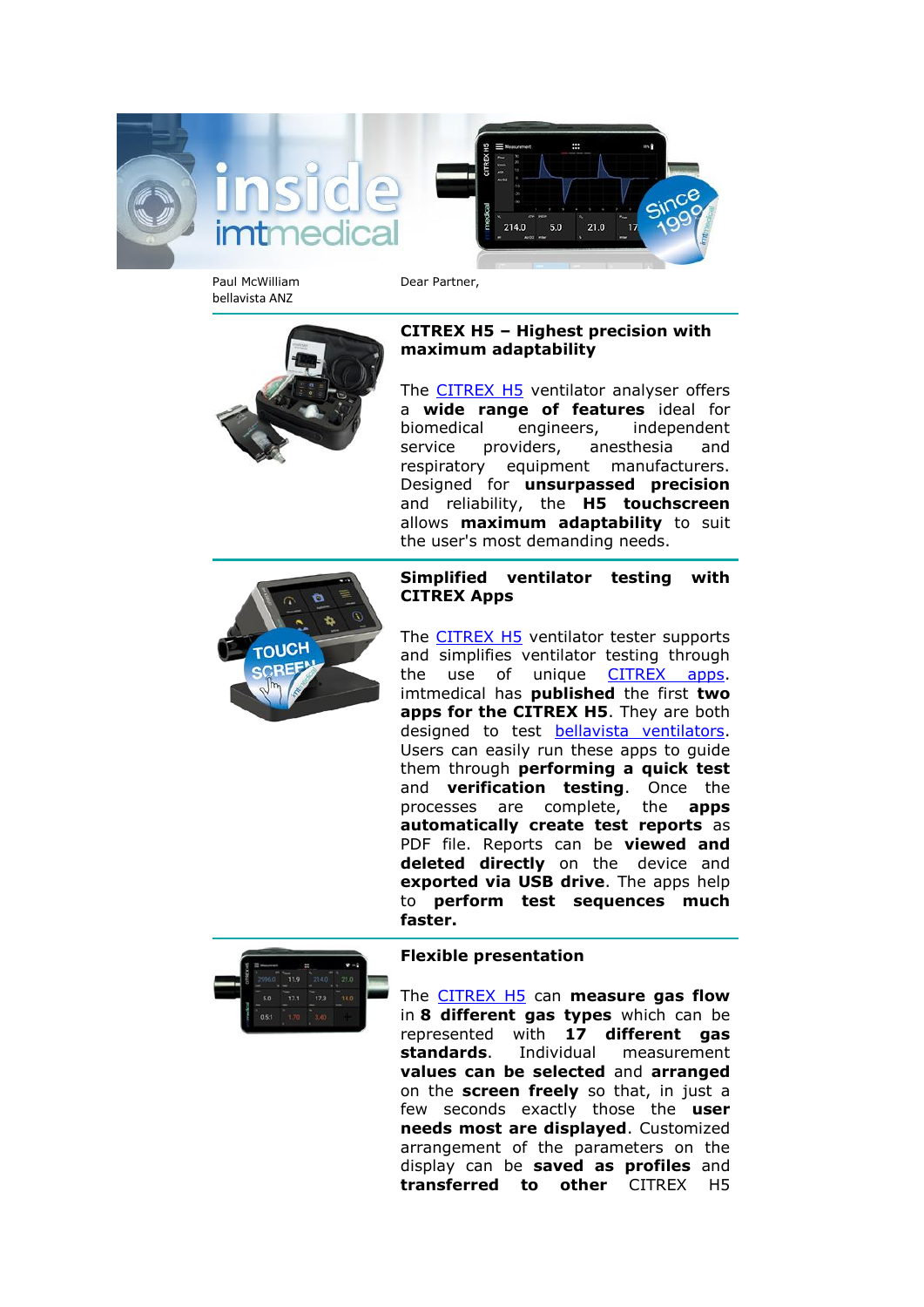



Paul McWilliam bellavista ANZ

Dear Partner,

# **CITREX H5 – Highest precision with maximum adaptability**

The [CITREX H5](https://imtmedical.com/Analyser/CITREX_H5) ventilator analyser offers a **wide range of features** ideal for biomedical engineers, independent service providers, anesthesia and respiratory equipment manufacturers. Designed for **unsurpassed precision** and reliability, the **H5 touchscreen** allows **maximum adaptability** to suit the user's most demanding needs.



## **Simplified ventilator testing with CITREX Apps**

The [CITREX H5](https://imtmedical.com/Analyser/CITREX_H5) ventilator tester supports and simplifies ventilator testing through the use of unique [CITREX apps.](https://www.youtube.com/watch?v=DCEMWaW7QKc) imtmedical has **published** the first **two apps for the CITREX H5**. They are both designed to test **bellavista** ventilators. Users can easily run these apps to guide them through **performing a quick test** and **verification testing**. Once the processes are complete, the **apps automatically create test reports** as PDF file. Reports can be **viewed and deleted directly** on the device and **exported via USB drive**. The apps help to **perform test sequences much faster.**



## **Flexible presentation**

The [CITREX H5](https://imtmedical.com/Analyser/CITREX_H5) can **measure gas flow** in **8 different gas types** which can be represented with **17 different gas standards**. Individual measurement **values can be selected** and **arranged** on the **screen freely** so that, in just a few seconds exactly those the **user needs most are displayed**. Customized arrangement of the parameters on the display can be **saved as profiles** and **transferred to other** CITREX H5